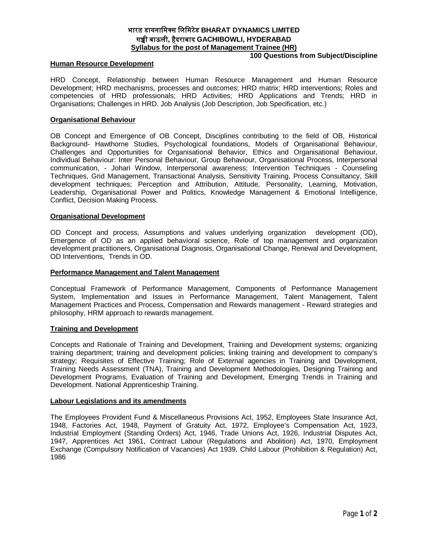# **भारत डायनािमस िलिमटेड BHARAT DYNAMICS LIMITED गᲬी बाऊली, हैदराबाद GACHIBOWLI, HYDERABAD Syllabus for the post of Management Trainee (HR)**

#### **Human Resource Development**

# **100 Questions from Subject/Discipline**

HRD Concept, Relationship between Human Resource Management and Human Resource Development; HRD mechanisms, processes and outcomes; HRD matrix; HRD interventions; Roles and competencies of HRD professionals; HRD Activities; HRD Applications and Trends; HRD in Organisations; Challenges in HRD. Job Analysis (Job Description, Job Specification, etc.)

### **Organisational Behaviour**

OB Concept and Emergence of OB Concept, Disciplines contributing to the field of OB, Historical Background- Hawthorne Studies, Psychological foundations, Models of Organisational Behaviour, Challenges and Opportunities for Organisational Behavior, Ethics and Organisational Behaviour, Individual Behaviour: Inter Personal Behaviour, Group Behaviour, Organisational Process, Interpersonal communication, - Johari Window, Interpersonal awareness; Intervention Techniques - Counseling Techniques, Grid Management, Transactional Analysis, Sensitivity Training, Process Consultancy, Skill development techniques; Perception and Attribution, Attitude, Personality, Learning, Motivation, Leadership, Organisational Power and Politics, Knowledge Management & Emotional Intelligence, Conflict, Decision Making Process.

#### **Organisational Development**

OD Concept and process, Assumptions and values underlying organization development (OD), Emergence of OD as an applied behavioral science, Role of top management and organization development practitioners, Organisational Diagnosis, Organisational Change, Renewal and Development, OD Interventions, Trends in OD.

#### **Performance Management and Talent Management**

Conceptual Framework of Performance Management, Components of Performance Management System, Implementation and Issues in Performance Management, Talent Management, Talent Management Practices and Process, Compensation and Rewards management - Reward strategies and philosophy, HRM approach to rewards management.

### **Training and Development**

Concepts and Rationale of Training and Development, Training and Development systems; organizing training department; training and development policies; linking training and development to company's strategy; Requisites of Effective Training; Role of External agencies in Training and Development, Training Needs Assessment (TNA), Training and Development Methodologies, Designing Training and Development Programs, Evaluation of Training and Development, Emerging Trends in Training and Development. National Apprenticeship Training.

#### **Labour Legislations and its amendments**

The Employees Provident Fund & Miscellaneous Provisions Act, 1952, Employees State Insurance Act, 1948, Factories Act, 1948, Payment of Gratuity Act, 1972, Employee's Compensation Act, 1923, Industrial Employment (Standing Orders) Act, 1946, Trade Unions Act, 1926, Industrial Disputes Act, 1947, Apprentices Act 1961, Contract Labour (Regulations and Abolition) Act, 1970, Employment Exchange (Compulsory Notification of Vacancies) Act 1939, Child Labour (Prohibition & Regulation) Act, 1986